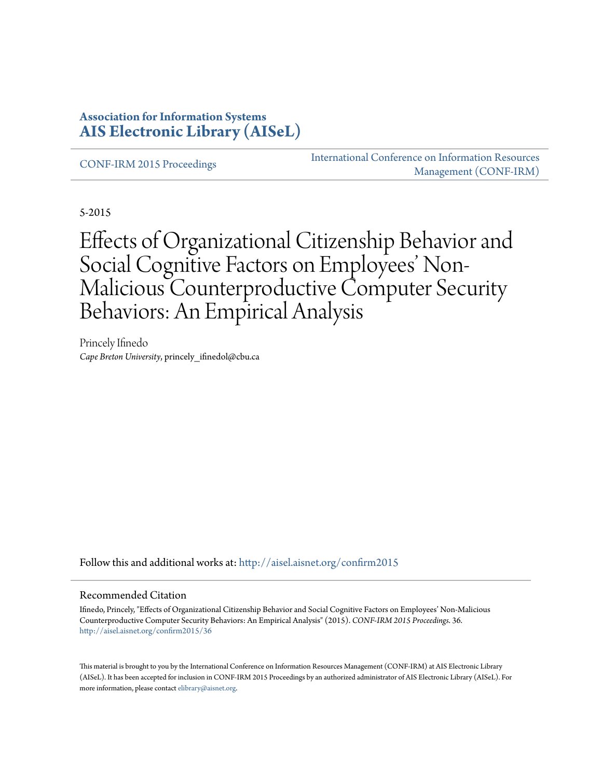### **Association for Information Systems [AIS Electronic Library \(AISeL\)](http://aisel.aisnet.org?utm_source=aisel.aisnet.org%2Fconfirm2015%2F36&utm_medium=PDF&utm_campaign=PDFCoverPages)**

[CONF-IRM 2015 Proceedings](http://aisel.aisnet.org/confirm2015?utm_source=aisel.aisnet.org%2Fconfirm2015%2F36&utm_medium=PDF&utm_campaign=PDFCoverPages)

[International Conference on Information Resources](http://aisel.aisnet.org/conf-irm?utm_source=aisel.aisnet.org%2Fconfirm2015%2F36&utm_medium=PDF&utm_campaign=PDFCoverPages) [Management \(CONF-IRM\)](http://aisel.aisnet.org/conf-irm?utm_source=aisel.aisnet.org%2Fconfirm2015%2F36&utm_medium=PDF&utm_campaign=PDFCoverPages)

5-2015

# Effects of Organizational Citizenship Behavior and Social Cognitive Factors on Employees' Non-Malicious Counterproductive Computer Security Behaviors: An Empirical Analysis

Princely Ifinedo *Cape Breton University*, princely\_ifinedol@cbu.ca

Follow this and additional works at: [http://aisel.aisnet.org/confirm2015](http://aisel.aisnet.org/confirm2015?utm_source=aisel.aisnet.org%2Fconfirm2015%2F36&utm_medium=PDF&utm_campaign=PDFCoverPages)

#### Recommended Citation

Ifinedo, Princely, "Effects of Organizational Citizenship Behavior and Social Cognitive Factors on Employees' Non-Malicious Counterproductive Computer Security Behaviors: An Empirical Analysis" (2015). *CONF-IRM 2015 Proceedings*. 36. [http://aisel.aisnet.org/confirm2015/36](http://aisel.aisnet.org/confirm2015/36?utm_source=aisel.aisnet.org%2Fconfirm2015%2F36&utm_medium=PDF&utm_campaign=PDFCoverPages)

This material is brought to you by the International Conference on Information Resources Management (CONF-IRM) at AIS Electronic Library (AISeL). It has been accepted for inclusion in CONF-IRM 2015 Proceedings by an authorized administrator of AIS Electronic Library (AISeL). For more information, please contact [elibrary@aisnet.org.](mailto:elibrary@aisnet.org%3E)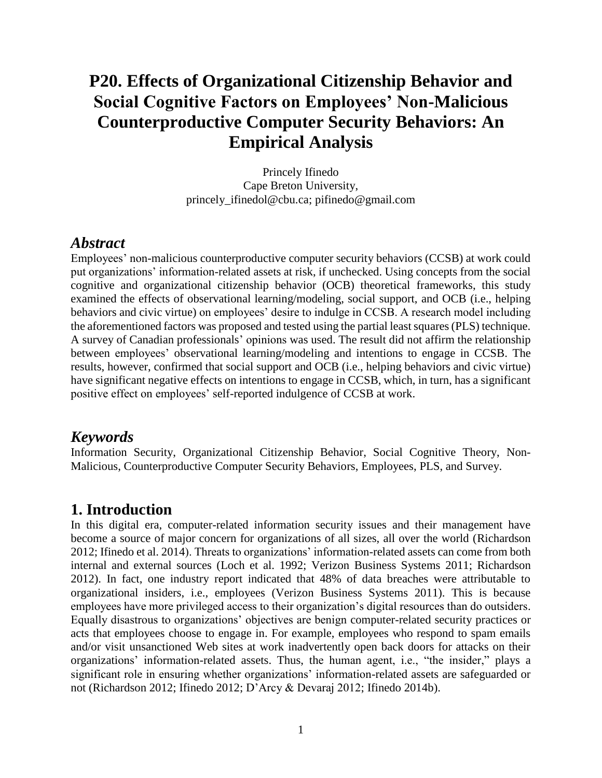## **P20. Effects of Organizational Citizenship Behavior and Social Cognitive Factors on Employees' Non-Malicious Counterproductive Computer Security Behaviors: An Empirical Analysis**

Princely Ifinedo Cape Breton University, princely\_ifinedol@cbu.ca; pifinedo@gmail.com

#### *Abstract*

Employees' non-malicious counterproductive computer security behaviors (CCSB) at work could put organizations' information-related assets at risk, if unchecked. Using concepts from the social cognitive and organizational citizenship behavior (OCB) theoretical frameworks, this study examined the effects of observational learning/modeling, social support, and OCB (i.e., helping behaviors and civic virtue) on employees' desire to indulge in CCSB. A research model including the aforementioned factors was proposed and tested using the partial least squares (PLS) technique. A survey of Canadian professionals' opinions was used. The result did not affirm the relationship between employees' observational learning/modeling and intentions to engage in CCSB. The results, however, confirmed that social support and OCB (i.e., helping behaviors and civic virtue) have significant negative effects on intentions to engage in CCSB, which, in turn, has a significant positive effect on employees' self-reported indulgence of CCSB at work.

#### *Keywords*

Information Security, Organizational Citizenship Behavior, Social Cognitive Theory, Non-Malicious, Counterproductive Computer Security Behaviors, Employees, PLS, and Survey.

### **1. Introduction**

In this digital era, computer-related information security issues and their management have become a source of major concern for organizations of all sizes, all over the world (Richardson 2012; Ifinedo et al. 2014). Threats to organizations' information-related assets can come from both internal and external sources (Loch et al. 1992; Verizon Business Systems 2011; Richardson 2012). In fact, one industry report indicated that 48% of data breaches were attributable to organizational insiders, i.e., employees (Verizon Business Systems 2011). This is because employees have more privileged access to their organization's digital resources than do outsiders. Equally disastrous to organizations' objectives are benign computer-related security practices or acts that employees choose to engage in. For example, employees who respond to spam emails and/or visit unsanctioned Web sites at work inadvertently open back doors for attacks on their organizations' information-related assets. Thus, the human agent, i.e., "the insider," plays a significant role in ensuring whether organizations' information-related assets are safeguarded or not (Richardson 2012; Ifinedo 2012; D'Arcy & Devaraj 2012; Ifinedo 2014b).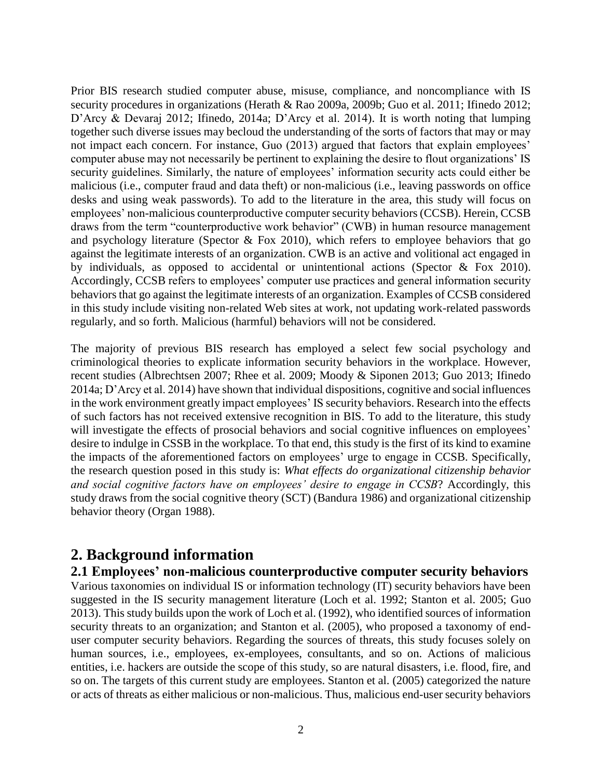Prior BIS research studied computer abuse, misuse, compliance, and noncompliance with IS security procedures in organizations (Herath & Rao 2009a, 2009b; Guo et al. 2011; Ifinedo 2012; D'Arcy & Devaraj 2012; Ifinedo, 2014a; D'Arcy et al. 2014). It is worth noting that lumping together such diverse issues may becloud the understanding of the sorts of factors that may or may not impact each concern. For instance, Guo (2013) argued that factors that explain employees' computer abuse may not necessarily be pertinent to explaining the desire to flout organizations' IS security guidelines. Similarly, the nature of employees' information security acts could either be malicious (i.e., computer fraud and data theft) or non-malicious (i.e., leaving passwords on office desks and using weak passwords). To add to the literature in the area, this study will focus on employees' non-malicious counterproductive computer security behaviors (CCSB). Herein, CCSB draws from the term "counterproductive work behavior" (CWB) in human resource management and psychology literature (Spector & Fox 2010), which refers to employee behaviors that go against the legitimate interests of an organization. CWB is an active and volitional act engaged in by individuals, as opposed to accidental or unintentional actions (Spector & Fox 2010). Accordingly, CCSB refers to employees' computer use practices and general information security behaviors that go against the legitimate interests of an organization. Examples of CCSB considered in this study include visiting non-related Web sites at work, not updating work-related passwords regularly, and so forth. Malicious (harmful) behaviors will not be considered.

The majority of previous BIS research has employed a select few social psychology and criminological theories to explicate information security behaviors in the workplace. However, recent studies (Albrechtsen 2007; Rhee et al. 2009; Moody & Siponen 2013; Guo 2013; Ifinedo 2014a; D'Arcy et al. 2014) have shown that individual dispositions, cognitive and social influences in the work environment greatly impact employees' IS security behaviors. Research into the effects of such factors has not received extensive recognition in BIS. To add to the literature, this study will investigate the effects of prosocial behaviors and social cognitive influences on employees' desire to indulge in CSSB in the workplace. To that end, this study is the first of its kind to examine the impacts of the aforementioned factors on employees' urge to engage in CCSB. Specifically, the research question posed in this study is: *What effects do organizational citizenship behavior and social cognitive factors have on employees' desire to engage in CCSB*? Accordingly, this study draws from the social cognitive theory (SCT) (Bandura 1986) and organizational citizenship behavior theory (Organ 1988).

### **2. Background information**

#### **2.1 Employees' non-malicious counterproductive computer security behaviors**

Various taxonomies on individual IS or information technology (IT) security behaviors have been suggested in the IS security management literature (Loch et al. 1992; Stanton et al. 2005; Guo 2013). This study builds upon the work of Loch et al. (1992), who identified sources of information security threats to an organization; and Stanton et al. (2005), who proposed a taxonomy of enduser computer security behaviors. Regarding the sources of threats, this study focuses solely on human sources, i.e., employees, ex-employees, consultants, and so on. Actions of malicious entities, i.e. hackers are outside the scope of this study, so are natural disasters, i.e. flood, fire, and so on. The targets of this current study are employees. Stanton et al. (2005) categorized the nature or acts of threats as either malicious or non-malicious. Thus, malicious end-user security behaviors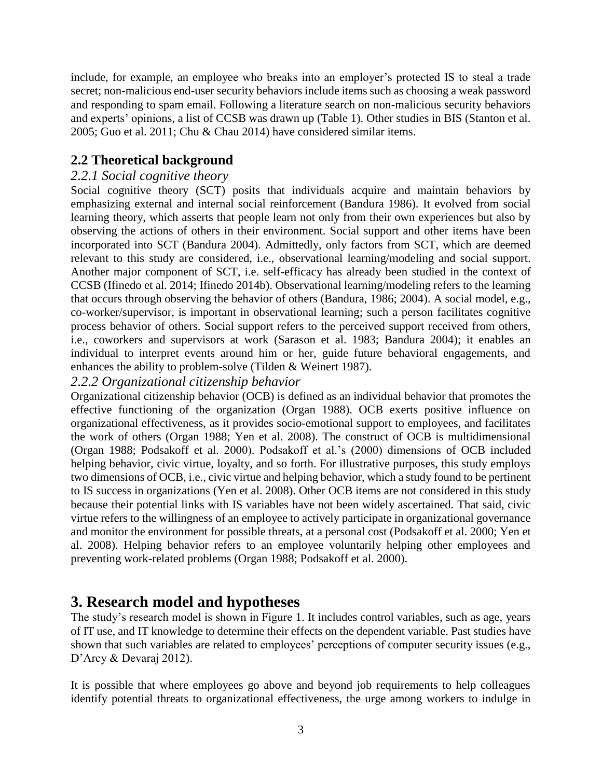include, for example, an employee who breaks into an employer's protected IS to steal a trade secret; non-malicious end-user security behaviors include items such as choosing a weak password and responding to spam email. Following a literature search on non-malicious security behaviors and experts' opinions, a list of CCSB was drawn up (Table 1). Other studies in BIS (Stanton et al. 2005; Guo et al. 2011; Chu & Chau 2014) have considered similar items.

### **2.2 Theoretical background**

#### *2.2.1 Social cognitive theory*

Social cognitive theory (SCT) posits that individuals acquire and maintain behaviors by emphasizing external and internal social reinforcement (Bandura 1986). It evolved from social learning theory, which asserts that people learn not only from their own experiences but also by observing the actions of others in their environment. Social support and other items have been incorporated into SCT (Bandura 2004). Admittedly, only factors from SCT, which are deemed relevant to this study are considered, i.e., observational learning/modeling and social support. Another major component of SCT, i.e. self-efficacy has already been studied in the context of CCSB (Ifinedo et al. 2014; Ifinedo 2014b). Observational learning/modeling refers to the learning that occurs through observing the behavior of others (Bandura, 1986; 2004). A social model, e.g., co-worker/supervisor, is important in observational learning; such a person facilitates cognitive process behavior of others. Social support refers to the perceived support received from others, i.e., coworkers and supervisors at work (Sarason et al. 1983; Bandura 2004); it enables an individual to interpret events around him or her, guide future behavioral engagements, and enhances the ability to problem-solve (Tilden & Weinert 1987).

#### *2.2.2 Organizational citizenship behavior*

Organizational citizenship behavior (OCB) is defined as an individual behavior that promotes the effective functioning of the organization (Organ 1988). OCB exerts positive influence on organizational effectiveness, as it provides socio-emotional support to employees, and facilitates the work of others (Organ 1988; Yen et al. 2008). The construct of OCB is multidimensional (Organ 1988; Podsakoff et al. 2000). Podsakoff et al.'s (2000) dimensions of OCB included helping behavior, civic virtue, loyalty, and so forth. For illustrative purposes, this study employs two dimensions of OCB, i.e., civic virtue and helping behavior, which a study found to be pertinent to IS success in organizations (Yen et al. 2008). Other OCB items are not considered in this study because their potential links with IS variables have not been widely ascertained. That said, civic virtue refers to the willingness of an employee to actively participate in organizational governance and monitor the environment for possible threats, at a personal cost (Podsakoff et al. 2000; Yen et al. 2008). Helping behavior refers to an employee voluntarily helping other employees and preventing work-related problems (Organ 1988; Podsakoff et al. 2000).

### **3. Research model and hypotheses**

The study's research model is shown in Figure 1. It includes control variables, such as age, years of IT use, and IT knowledge to determine their effects on the dependent variable. Past studies have shown that such variables are related to employees' perceptions of computer security issues (e.g., D'Arcy & Devaraj 2012).

It is possible that where employees go above and beyond job requirements to help colleagues identify potential threats to organizational effectiveness, the urge among workers to indulge in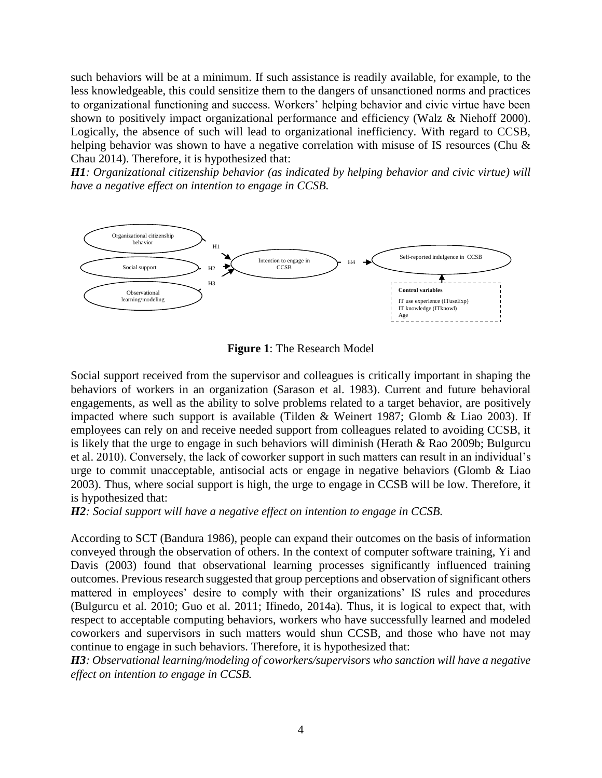such behaviors will be at a minimum. If such assistance is readily available, for example, to the less knowledgeable, this could sensitize them to the dangers of unsanctioned norms and practices to organizational functioning and success. Workers' helping behavior and civic virtue have been shown to positively impact organizational performance and efficiency (Walz & Niehoff 2000). Logically, the absence of such will lead to organizational inefficiency. With regard to CCSB, helping behavior was shown to have a negative correlation with misuse of IS resources (Chu & Chau 2014). Therefore, it is hypothesized that:

*H1: Organizational citizenship behavior (as indicated by helping behavior and civic virtue) will have a negative effect on intention to engage in CCSB.*



**Figure 1**: The Research Model

Social support received from the supervisor and colleagues is critically important in shaping the behaviors of workers in an organization (Sarason et al. 1983). Current and future behavioral engagements, as well as the ability to solve problems related to a target behavior, are positively impacted where such support is available (Tilden & Weinert 1987; Glomb & Liao 2003). If employees can rely on and receive needed support from colleagues related to avoiding CCSB, it is likely that the urge to engage in such behaviors will diminish (Herath & Rao 2009b; Bulgurcu et al. 2010). Conversely, the lack of coworker support in such matters can result in an individual's urge to commit unacceptable, antisocial acts or engage in negative behaviors (Glomb & Liao 2003). Thus, where social support is high, the urge to engage in CCSB will be low. Therefore, it is hypothesized that:

*H2: Social support will have a negative effect on intention to engage in CCSB.*

According to SCT (Bandura 1986), people can expand their outcomes on the basis of information conveyed through the observation of others. In the context of computer software training, Yi and Davis (2003) found that observational learning processes significantly influenced training outcomes. Previous research suggested that group perceptions and observation of significant others mattered in employees' desire to comply with their organizations' IS rules and procedures (Bulgurcu et al. 2010; Guo et al. 2011; Ifinedo, 2014a). Thus, it is logical to expect that, with respect to acceptable computing behaviors, workers who have successfully learned and modeled coworkers and supervisors in such matters would shun CCSB, and those who have not may continue to engage in such behaviors. Therefore, it is hypothesized that:

*H3: Observational learning/modeling of coworkers/supervisors who sanction will have a negative effect on intention to engage in CCSB.*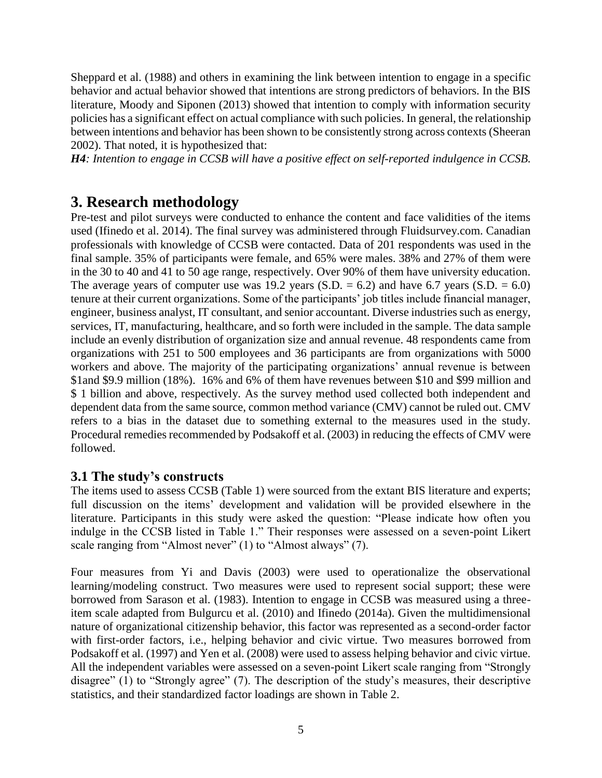Sheppard et al. (1988) and others in examining the link between intention to engage in a specific behavior and actual behavior showed that intentions are strong predictors of behaviors. In the BIS literature, Moody and Siponen (2013) showed that intention to comply with information security policies has a significant effect on actual compliance with such policies. In general, the relationship between intentions and behavior has been shown to be consistently strong across contexts (Sheeran 2002). That noted, it is hypothesized that:

*H4: Intention to engage in CCSB will have a positive effect on self-reported indulgence in CCSB.*

### **3. Research methodology**

Pre-test and pilot surveys were conducted to enhance the content and face validities of the items used (Ifinedo et al. 2014). The final survey was administered through Fluidsurvey.com. Canadian professionals with knowledge of CCSB were contacted. Data of 201 respondents was used in the final sample. 35% of participants were female, and 65% were males. 38% and 27% of them were in the 30 to 40 and 41 to 50 age range, respectively. Over 90% of them have university education. The average years of computer use was 19.2 years  $(S.D. = 6.2)$  and have 6.7 years  $(S.D. = 6.0)$ tenure at their current organizations. Some of the participants' job titles include financial manager, engineer, business analyst, IT consultant, and senior accountant. Diverse industries such as energy, services, IT, manufacturing, healthcare, and so forth were included in the sample. The data sample include an evenly distribution of organization size and annual revenue. 48 respondents came from organizations with 251 to 500 employees and 36 participants are from organizations with 5000 workers and above. The majority of the participating organizations' annual revenue is between \$1and \$9.9 million (18%). 16% and 6% of them have revenues between \$10 and \$99 million and \$ 1 billion and above, respectively. As the survey method used collected both independent and dependent data from the same source, common method variance (CMV) cannot be ruled out. CMV refers to a bias in the dataset due to something external to the measures used in the study. Procedural remedies recommended by Podsakoff et al. (2003) in reducing the effects of CMV were followed.

### **3.1 The study's constructs**

The items used to assess CCSB (Table 1) were sourced from the extant BIS literature and experts; full discussion on the items' development and validation will be provided elsewhere in the literature. Participants in this study were asked the question: "Please indicate how often you indulge in the CCSB listed in Table 1." Their responses were assessed on a seven-point Likert scale ranging from "Almost never" (1) to "Almost always" (7).

Four measures from Yi and Davis (2003) were used to operationalize the observational learning/modeling construct. Two measures were used to represent social support; these were borrowed from Sarason et al. (1983). Intention to engage in CCSB was measured using a threeitem scale adapted from Bulgurcu et al. (2010) and Ifinedo (2014a). Given the multidimensional nature of organizational citizenship behavior, this factor was represented as a second-order factor with first-order factors, i.e., helping behavior and civic virtue. Two measures borrowed from Podsakoff et al. (1997) and Yen et al. (2008) were used to assess helping behavior and civic virtue. All the independent variables were assessed on a seven-point Likert scale ranging from "Strongly disagree" (1) to "Strongly agree" (7). The description of the study's measures, their descriptive statistics, and their standardized factor loadings are shown in Table 2.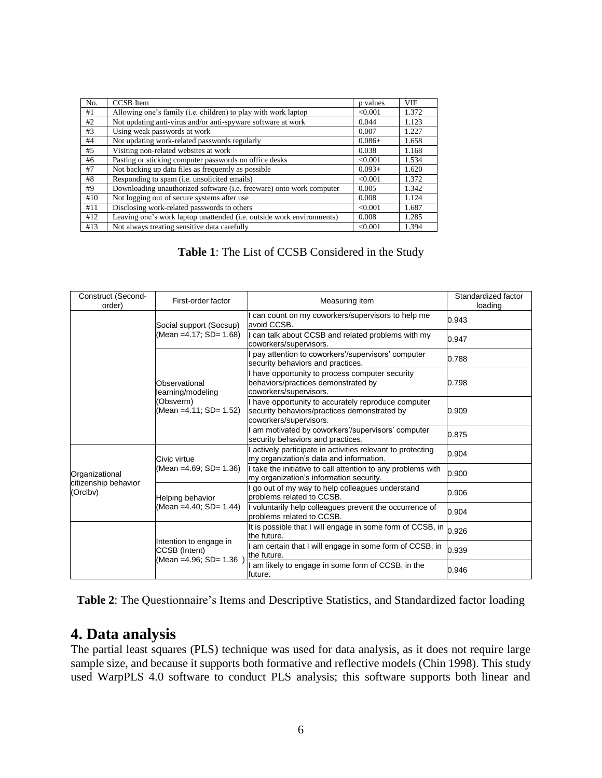| No. | <b>CCSB</b> Item                                                              | p values | <b>VIF</b> |
|-----|-------------------------------------------------------------------------------|----------|------------|
| #1  | Allowing one's family (i.e. children) to play with work laptop                | < 0.001  | 1.372      |
| #2  | Not updating anti-virus and/or anti-spyware software at work                  | 0.044    | 1.123      |
| #3  | Using weak passwords at work                                                  | 0.007    | 1.227      |
| #4  | Not updating work-related passwords regularly                                 | $0.086+$ | 1.658      |
| #5  | Visiting non-related websites at work                                         | 0.038    | 1.168      |
| #6  | Pasting or sticking computer passwords on office desks                        | < 0.001  | 1.534      |
| #7  | Not backing up data files as frequently as possible                           | $0.093+$ | 1.620      |
| #8  | Responding to spam (i.e. unsolicited emails)                                  | < 0.001  | 1.372      |
| #9  | Downloading unauthorized software (i.e. freeware) onto work computer          | 0.005    | 1.342      |
| #10 | Not logging out of secure systems after use                                   | 0.008    | 1.124      |
| #11 | Disclosing work-related passwords to others                                   | < 0.001  | 1.687      |
| #12 | Leaving one's work laptop unattended ( <i>i.e.</i> outside work environments) | 0.008    | 1.285      |
| #13 | Not always treating sensitive data carefully                                  | < 0.001  | 1.394      |

**Table 1**: The List of CCSB Considered in the Study

| Construct (Second-<br>order)           | First-order factor                                                        | Measuring item                                                                                                                | Standardized factor<br>loading |
|----------------------------------------|---------------------------------------------------------------------------|-------------------------------------------------------------------------------------------------------------------------------|--------------------------------|
|                                        | Social support (Socsup)                                                   | can count on my coworkers/supervisors to help me<br>avoid CCSB.                                                               | 0.943                          |
|                                        | (Mean = 4.17; SD = 1.68)                                                  | I can talk about CCSB and related problems with my<br>coworkers/supervisors.                                                  | 0.947                          |
|                                        | Observational<br>learning/modeling<br>(Obsverm)<br>(Mean =4.11; SD= 1.52) | pay attention to coworkers'/supervisors' computer<br>security behaviors and practices.                                        | 0.788                          |
|                                        |                                                                           | have opportunity to process computer security<br>behaviors/practices demonstrated by<br>coworkers/supervisors.                | 0.798                          |
|                                        |                                                                           | I have opportunity to accurately reproduce computer<br>security behaviors/practices demonstrated by<br>coworkers/supervisors. | 0.909                          |
|                                        |                                                                           | am motivated by coworkers'/supervisors' computer<br>security behaviors and practices.                                         | 0.875                          |
|                                        | Civic virtue<br>(Mean = 4.69; SD = 1.36)                                  | actively participate in activities relevant to protecting<br>my organization's data and information.                          | 0.904                          |
| Organizational<br>citizenship behavior |                                                                           | I take the initiative to call attention to any problems with<br>my organization's information security.                       | 0.900                          |
| (Orclbv)                               | Helping behavior<br>(Mean = 4.40; SD = 1.44)                              | go out of my way to help colleagues understand<br>problems related to CCSB.                                                   | 0.906                          |
|                                        |                                                                           | I voluntarily help colleagues prevent the occurrence of<br>problems related to CCSB.                                          | 0.904                          |
|                                        | Intention to engage in<br>CCSB (Intent)<br>(Mean = 4.96; SD = 1.36        | It is possible that I will engage in some form of CCSB, in<br>the future.                                                     | 0.926                          |
|                                        |                                                                           | am certain that I will engage in some form of CCSB, in<br>the future.                                                         | 0.939                          |
|                                        |                                                                           | am likely to engage in some form of CCSB, in the<br>future.                                                                   | 0.946                          |

**Table 2**: The Questionnaire's Items and Descriptive Statistics, and Standardized factor loading

### **4. Data analysis**

The partial least squares (PLS) technique was used for data analysis, as it does not require large sample size, and because it supports both formative and reflective models (Chin 1998). This study used WarpPLS 4.0 software to conduct PLS analysis; this software supports both linear and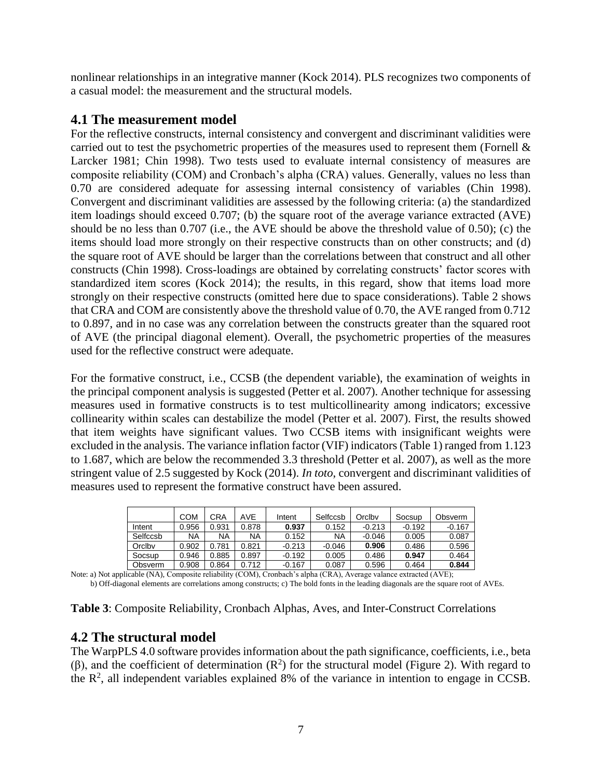nonlinear relationships in an integrative manner (Kock 2014). PLS recognizes two components of a casual model: the measurement and the structural models.

#### **4.1 The measurement model**

For the reflective constructs, internal consistency and convergent and discriminant validities were carried out to test the psychometric properties of the measures used to represent them (Fornell & Larcker 1981; Chin 1998). Two tests used to evaluate internal consistency of measures are composite reliability (COM) and Cronbach's alpha (CRA) values. Generally, values no less than 0.70 are considered adequate for assessing internal consistency of variables (Chin 1998). Convergent and discriminant validities are assessed by the following criteria: (a) the standardized item loadings should exceed 0.707; (b) the square root of the average variance extracted (AVE) should be no less than 0.707 (i.e., the AVE should be above the threshold value of 0.50); (c) the items should load more strongly on their respective constructs than on other constructs; and (d) the square root of AVE should be larger than the correlations between that construct and all other constructs (Chin 1998). Cross-loadings are obtained by correlating constructs' factor scores with standardized item scores (Kock 2014); the results, in this regard, show that items load more strongly on their respective constructs (omitted here due to space considerations). Table 2 shows that CRA and COM are consistently above the threshold value of 0.70, the AVE ranged from 0.712 to 0.897, and in no case was any correlation between the constructs greater than the squared root of AVE (the principal diagonal element). Overall, the psychometric properties of the measures used for the reflective construct were adequate.

For the formative construct, i.e., CCSB (the dependent variable), the examination of weights in the principal component analysis is suggested (Petter et al. 2007). Another technique for assessing measures used in formative constructs is to test multicollinearity among indicators; excessive collinearity within scales can destabilize the model (Petter et al. 2007). First, the results showed that item weights have significant values. Two CCSB items with insignificant weights were excluded in the analysis. The variance inflation factor (VIF) indicators (Table 1) ranged from 1.123 to 1.687, which are below the recommended 3.3 threshold (Petter et al. 2007), as well as the more stringent value of 2.5 suggested by Kock (2014). *In toto*, convergent and discriminant validities of measures used to represent the formative construct have been assured.

|          | COM   | CRA   | AVE   | Intent   | Selfccsb | Orclbv   | Socsup   | Obsverm  |
|----------|-------|-------|-------|----------|----------|----------|----------|----------|
| Intent   | 0.956 | 0.931 | 0.878 | 0.937    | 0.152    | $-0.213$ | $-0.192$ | $-0.167$ |
| Selfccsb | NA    | ΝA    | NA    | 0.152    | NA       | $-0.046$ | 0.005    | 0.087    |
| Orclby   | 0.902 | 0.781 | 0.821 | $-0.213$ | $-0.046$ | 0.906    | 0.486    | 0.596    |
| Socsup   | 0.946 | 0.885 | 0.897 | $-0.192$ | 0.005    | 0.486    | 0.947    | 0.464    |
| Obsverm  | 0.908 | 0.864 | 0.712 | $-0.167$ | 0.087    | 0.596    | 0.464    | 0.844    |

Note: a) Not applicable (NA), Composite reliability (COM), Cronbach's alpha (CRA), Average valance extracted (AVE); b) Off-diagonal elements are correlations among constructs; c) The bold fonts in the leading diagonals are the square root of AVEs.

**Table 3**: Composite Reliability, Cronbach Alphas, Aves, and Inter-Construct Correlations

### **4.2 The structural model**

The WarpPLS 4.0 software provides information about the path significance, coefficients, i.e., beta (β), and the coefficient of determination ( $\mathbb{R}^2$ ) for the structural model (Figure 2). With regard to the  $\mathbb{R}^2$ , all independent variables explained 8% of the variance in intention to engage in CCSB.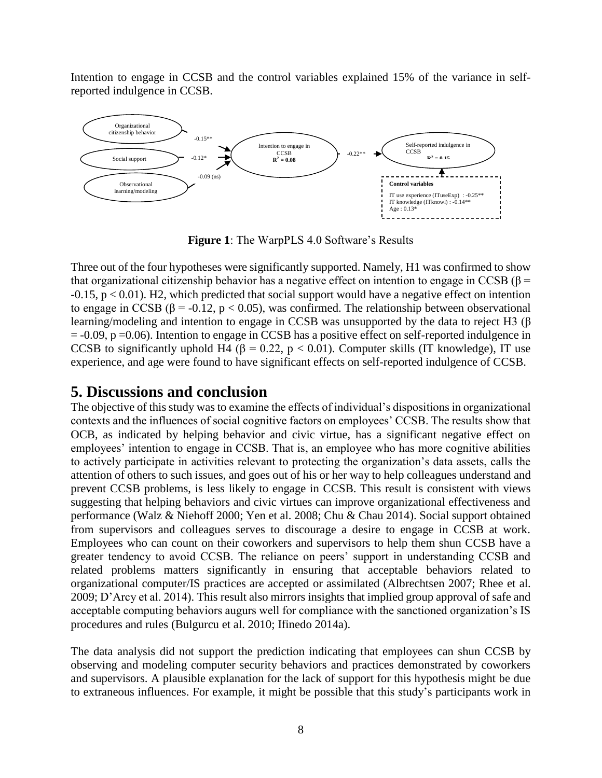Intention to engage in CCSB and the control variables explained 15% of the variance in selfreported indulgence in CCSB.



**Figure 1**: The WarpPLS 4.0 Software's Results

Three out of the four hypotheses were significantly supported. Namely, H1 was confirmed to show that organizational citizenship behavior has a negative effect on intention to engage in CCSB ( $\beta$  =  $-0.15$ ,  $p < 0.01$ ). H2, which predicted that social support would have a negative effect on intention to engage in CCSB ( $\beta$  = -0.12, p < 0.05), was confirmed. The relationship between observational learning/modeling and intention to engage in CCSB was unsupported by the data to reject H3 (β  $= -0.09$ ,  $p = 0.06$ ). Intention to engage in CCSB has a positive effect on self-reported indulgence in CCSB to significantly uphold H4 ( $\beta$  = 0.22, p < 0.01). Computer skills (IT knowledge), IT use experience, and age were found to have significant effects on self-reported indulgence of CCSB.

### **5. Discussions and conclusion**

The objective of this study was to examine the effects of individual's dispositions in organizational contexts and the influences of social cognitive factors on employees' CCSB. The results show that OCB, as indicated by helping behavior and civic virtue, has a significant negative effect on employees' intention to engage in CCSB. That is, an employee who has more cognitive abilities to actively participate in activities relevant to protecting the organization's data assets, calls the attention of others to such issues, and goes out of his or her way to help colleagues understand and prevent CCSB problems, is less likely to engage in CCSB. This result is consistent with views suggesting that helping behaviors and civic virtues can improve organizational effectiveness and performance (Walz & Niehoff 2000; Yen et al. 2008; Chu & Chau 2014). Social support obtained from supervisors and colleagues serves to discourage a desire to engage in CCSB at work. Employees who can count on their coworkers and supervisors to help them shun CCSB have a greater tendency to avoid CCSB. The reliance on peers' support in understanding CCSB and related problems matters significantly in ensuring that acceptable behaviors related to organizational computer/IS practices are accepted or assimilated (Albrechtsen 2007; Rhee et al. 2009; D'Arcy et al. 2014). This result also mirrors insights that implied group approval of safe and acceptable computing behaviors augurs well for compliance with the sanctioned organization's IS procedures and rules (Bulgurcu et al. 2010; Ifinedo 2014a).

The data analysis did not support the prediction indicating that employees can shun CCSB by observing and modeling computer security behaviors and practices demonstrated by coworkers and supervisors. A plausible explanation for the lack of support for this hypothesis might be due to extraneous influences. For example, it might be possible that this study's participants work in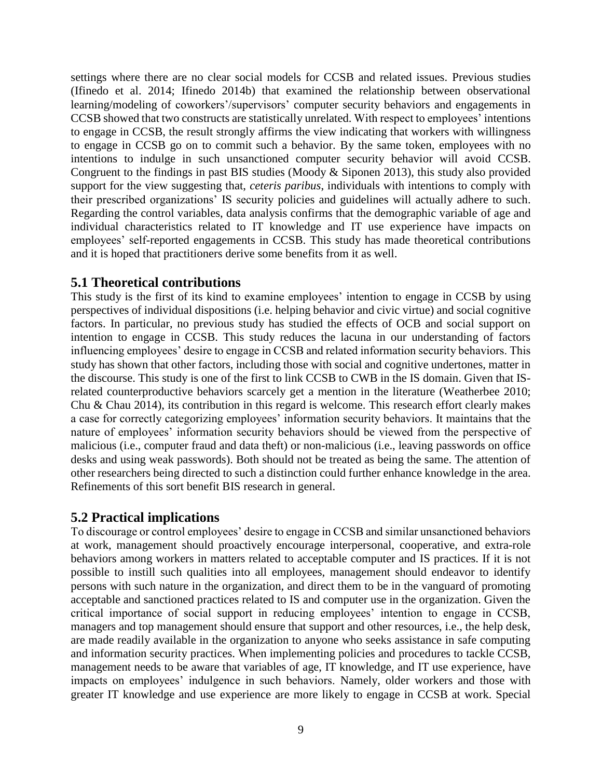settings where there are no clear social models for CCSB and related issues. Previous studies (Ifinedo et al. 2014; Ifinedo 2014b) that examined the relationship between observational learning/modeling of coworkers'/supervisors' computer security behaviors and engagements in CCSB showed that two constructs are statistically unrelated. With respect to employees' intentions to engage in CCSB, the result strongly affirms the view indicating that workers with willingness to engage in CCSB go on to commit such a behavior. By the same token, employees with no intentions to indulge in such unsanctioned computer security behavior will avoid CCSB. Congruent to the findings in past BIS studies (Moody & Siponen 2013), this study also provided support for the view suggesting that, *ceteris paribus*, individuals with intentions to comply with their prescribed organizations' IS security policies and guidelines will actually adhere to such. Regarding the control variables, data analysis confirms that the demographic variable of age and individual characteristics related to IT knowledge and IT use experience have impacts on employees' self-reported engagements in CCSB. This study has made theoretical contributions and it is hoped that practitioners derive some benefits from it as well.

### **5.1 Theoretical contributions**

This study is the first of its kind to examine employees' intention to engage in CCSB by using perspectives of individual dispositions (i.e. helping behavior and civic virtue) and social cognitive factors. In particular, no previous study has studied the effects of OCB and social support on intention to engage in CCSB. This study reduces the lacuna in our understanding of factors influencing employees' desire to engage in CCSB and related information security behaviors. This study has shown that other factors, including those with social and cognitive undertones, matter in the discourse. This study is one of the first to link CCSB to CWB in the IS domain. Given that ISrelated counterproductive behaviors scarcely get a mention in the literature (Weatherbee 2010; Chu & Chau 2014), its contribution in this regard is welcome. This research effort clearly makes a case for correctly categorizing employees' information security behaviors. It maintains that the nature of employees' information security behaviors should be viewed from the perspective of malicious (i.e., computer fraud and data theft) or non-malicious (i.e., leaving passwords on office desks and using weak passwords). Both should not be treated as being the same. The attention of other researchers being directed to such a distinction could further enhance knowledge in the area. Refinements of this sort benefit BIS research in general.

### **5.2 Practical implications**

To discourage or control employees' desire to engage in CCSB and similar unsanctioned behaviors at work, management should proactively encourage interpersonal, cooperative, and extra-role behaviors among workers in matters related to acceptable computer and IS practices. If it is not possible to instill such qualities into all employees, management should endeavor to identify persons with such nature in the organization, and direct them to be in the vanguard of promoting acceptable and sanctioned practices related to IS and computer use in the organization. Given the critical importance of social support in reducing employees' intention to engage in CCSB, managers and top management should ensure that support and other resources, i.e., the help desk, are made readily available in the organization to anyone who seeks assistance in safe computing and information security practices. When implementing policies and procedures to tackle CCSB, management needs to be aware that variables of age, IT knowledge, and IT use experience, have impacts on employees' indulgence in such behaviors. Namely, older workers and those with greater IT knowledge and use experience are more likely to engage in CCSB at work. Special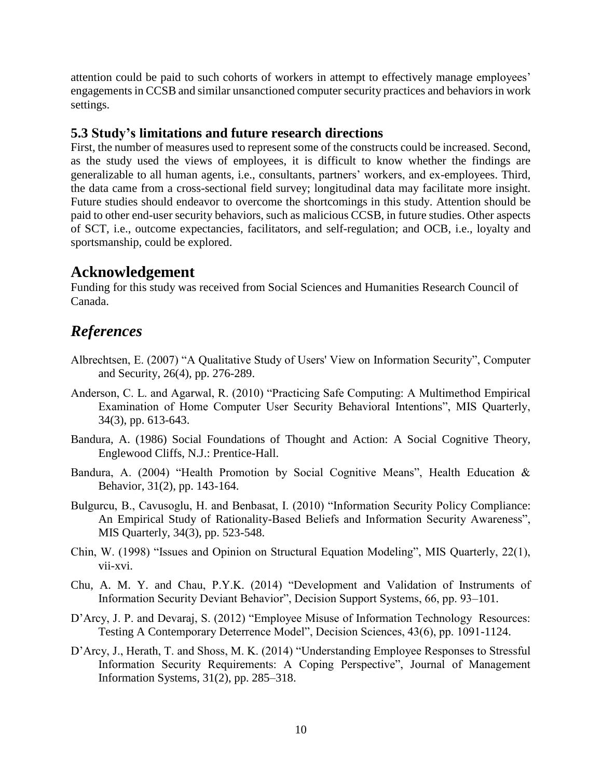attention could be paid to such cohorts of workers in attempt to effectively manage employees' engagements in CCSB and similar unsanctioned computer security practices and behaviors in work settings.

### **5.3 Study's limitations and future research directions**

First, the number of measures used to represent some of the constructs could be increased. Second, as the study used the views of employees, it is difficult to know whether the findings are generalizable to all human agents, i.e., consultants, partners' workers, and ex-employees. Third, the data came from a cross-sectional field survey; longitudinal data may facilitate more insight. Future studies should endeavor to overcome the shortcomings in this study. Attention should be paid to other end-user security behaviors, such as malicious CCSB, in future studies. Other aspects of SCT, i.e., outcome expectancies, facilitators, and self-regulation; and OCB, i.e., loyalty and sportsmanship, could be explored.

### **Acknowledgement**

Funding for this study was received from Social Sciences and Humanities Research Council of Canada.

### *References*

- Albrechtsen, E. (2007) "A Qualitative Study of Users' View on Information Security", Computer and Security, 26(4), pp. 276-289.
- Anderson, C. L. and Agarwal, R. (2010) "Practicing Safe Computing: A Multimethod Empirical Examination of Home Computer User Security Behavioral Intentions", MIS Quarterly, 34(3), pp. 613-643.
- Bandura, A. (1986) Social Foundations of Thought and Action: A Social Cognitive Theory, Englewood Cliffs, N.J.: Prentice-Hall.
- Bandura, A. (2004) "Health Promotion by Social Cognitive Means", Health Education & Behavior, 31(2), pp. 143-164.
- Bulgurcu, B., Cavusoglu, H. and Benbasat, I. (2010) "Information Security Policy Compliance: An Empirical Study of Rationality-Based Beliefs and Information Security Awareness", MIS Quarterly, 34(3), pp. 523-548.
- Chin, W. (1998) "Issues and Opinion on Structural Equation Modeling", MIS Quarterly, 22(1), vii-xvi.
- Chu, A. M. Y. and Chau, P.Y.K. (2014) "Development and Validation of Instruments of Information Security Deviant Behavior", Decision Support Systems, 66, pp. 93–101.
- D'Arcy, J. P. and Devaraj, S. (2012) "Employee Misuse of Information Technology Resources: Testing A Contemporary Deterrence Model", Decision Sciences, 43(6), pp. 1091-1124.
- D'Arcy, J., Herath, T. and Shoss, M. K. (2014) "Understanding Employee Responses to Stressful Information Security Requirements: A Coping Perspective", Journal of Management Information Systems, 31(2), pp. 285–318.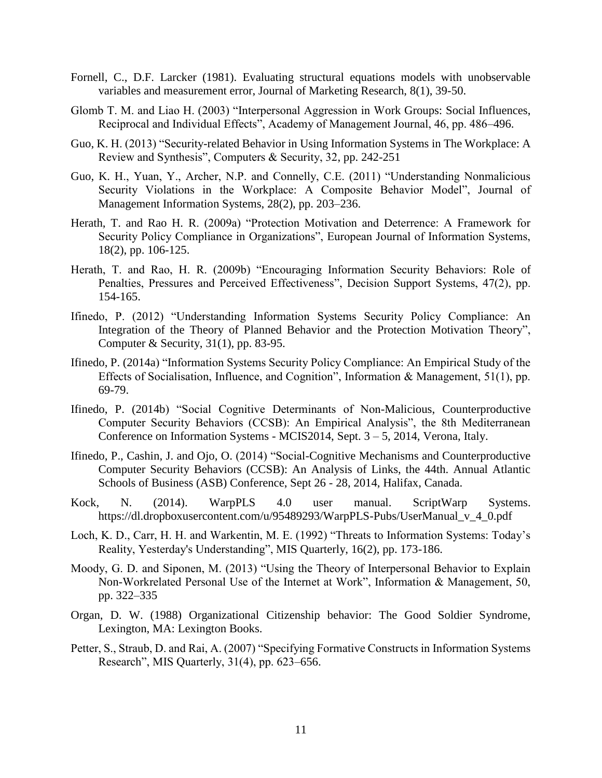- Fornell, C., D.F. Larcker (1981). Evaluating structural equations models with unobservable variables and measurement error, Journal of Marketing Research, 8(1), 39-50.
- Glomb T. M. and Liao H. (2003) "Interpersonal Aggression in Work Groups: Social Influences, Reciprocal and Individual Effects", Academy of Management Journal, 46, pp. 486–496.
- Guo, K. H. (2013) "Security-related Behavior in Using Information Systems in The Workplace: A Review and Synthesis", Computers & Security, 32, pp. 242-251
- Guo, K. H., Yuan, Y., Archer, N.P. and Connelly, C.E. (2011) "Understanding Nonmalicious Security Violations in the Workplace: A Composite Behavior Model", Journal of Management Information Systems, 28(2), pp. 203–236.
- Herath, T. and Rao H. R. (2009a) "Protection Motivation and Deterrence: A Framework for Security Policy Compliance in Organizations", European Journal of Information Systems, 18(2), pp. 106-125.
- Herath, T. and Rao, H. R. (2009b) "Encouraging Information Security Behaviors: Role of Penalties, Pressures and Perceived Effectiveness", Decision Support Systems, 47(2), pp. 154-165.
- Ifinedo, P. (2012) "Understanding Information Systems Security Policy Compliance: An Integration of the Theory of Planned Behavior and the Protection Motivation Theory", Computer & Security, 31(1), pp. 83-95.
- Ifinedo, P. (2014a) "Information Systems Security Policy Compliance: An Empirical Study of the Effects of Socialisation, Influence, and Cognition", Information & Management, 51(1), pp. 69-79.
- Ifinedo, P. (2014b) "Social Cognitive Determinants of Non-Malicious, Counterproductive Computer Security Behaviors (CCSB): An Empirical Analysis", the 8th Mediterranean Conference on Information Systems - MCIS2014, Sept. 3 – 5, 2014, Verona, Italy.
- Ifinedo, P., Cashin, J. and Ojo, O. (2014) "Social-Cognitive Mechanisms and Counterproductive Computer Security Behaviors (CCSB): An Analysis of Links, the 44th. Annual Atlantic Schools of Business (ASB) Conference, Sept 26 - 28, 2014, Halifax, Canada.
- Kock, N. (2014). WarpPLS 4.0 user manual. ScriptWarp Systems. https://dl.dropboxusercontent.com/u/95489293/WarpPLS-Pubs/UserManual\_v\_4\_0.pdf
- Loch, K. D., Carr, H. H. and Warkentin, M. E. (1992) "Threats to Information Systems: Today's Reality, Yesterday's Understanding", MIS Quarterly, 16(2), pp. 173-186.
- Moody, G. D. and Siponen, M. (2013) "Using the Theory of Interpersonal Behavior to Explain Non-Workrelated Personal Use of the Internet at Work", Information & Management, 50, pp. 322–335
- Organ, D. W. (1988) Organizational Citizenship behavior: The Good Soldier Syndrome, Lexington, MA: Lexington Books.
- Petter, S., Straub, D. and Rai, A. (2007) "Specifying Formative Constructs in Information Systems Research", MIS Quarterly, 31(4), pp. 623–656.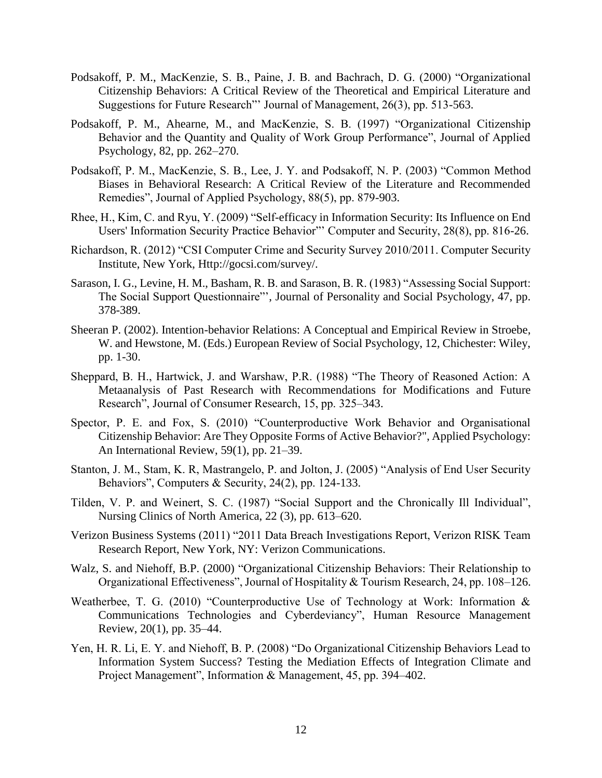- Podsakoff, P. M., MacKenzie, S. B., Paine, J. B. and Bachrach, D. G. (2000) "Organizational Citizenship Behaviors: A Critical Review of the Theoretical and Empirical Literature and Suggestions for Future Research"' Journal of Management, 26(3), pp. 513-563.
- Podsakoff, P. M., Ahearne, M., and MacKenzie, S. B. (1997) "Organizational Citizenship Behavior and the Quantity and Quality of Work Group Performance", Journal of Applied Psychology, 82, pp. 262–270.
- Podsakoff, P. M., MacKenzie, S. B., Lee, J. Y. and Podsakoff, N. P. (2003) "Common Method Biases in Behavioral Research: A Critical Review of the Literature and Recommended Remedies", Journal of Applied Psychology, 88(5), pp. 879-903.
- Rhee, H., Kim, C. and Ryu, Y. (2009) "Self-efficacy in Information Security: Its Influence on End Users' Information Security Practice Behavior"' Computer and Security, 28(8), pp. 816-26.
- Richardson, R. (2012) "CSI Computer Crime and Security Survey 2010/2011. Computer Security Institute, New York, Http://gocsi.com/survey/.
- Sarason, I. G., Levine, H. M., Basham, R. B. and Sarason, B. R. (1983) "Assessing Social Support: The Social Support Questionnaire"', Journal of Personality and Social Psychology, 47, pp. 378-389.
- Sheeran P. (2002). Intention-behavior Relations: A Conceptual and Empirical Review in Stroebe, W. and Hewstone, M. (Eds.) European Review of Social Psychology, 12, Chichester: Wiley, pp. 1-30.
- Sheppard, B. H., Hartwick, J. and Warshaw, P.R. (1988) "The Theory of Reasoned Action: A Metaanalysis of Past Research with Recommendations for Modifications and Future Research", Journal of Consumer Research, 15, pp. 325–343.
- Spector, P. E. and Fox, S. (2010) "Counterproductive Work Behavior and Organisational Citizenship Behavior: Are They Opposite Forms of Active Behavior?", Applied Psychology: An International Review, 59(1), pp. 21–39.
- Stanton, J. M., Stam, K. R, Mastrangelo, P. and Jolton, J. (2005) "Analysis of End User Security Behaviors", Computers & Security, 24(2), pp. 124-133.
- Tilden, V. P. and Weinert, S. C. (1987) "Social Support and the Chronically Ill Individual", Nursing Clinics of North America, 22 (3), pp. 613–620.
- Verizon Business Systems (2011) "2011 Data Breach Investigations Report, Verizon RISK Team Research Report, New York, NY: Verizon Communications.
- Walz, S. and Niehoff, B.P. (2000) "Organizational Citizenship Behaviors: Their Relationship to Organizational Effectiveness", Journal of Hospitality & Tourism Research, 24, pp. 108–126.
- Weatherbee, T. G. (2010) "Counterproductive Use of Technology at Work: Information & Communications Technologies and Cyberdeviancy", Human Resource Management Review, 20(1), pp. 35–44.
- Yen, H. R. Li, E. Y. and Niehoff, B. P. (2008) "Do Organizational Citizenship Behaviors Lead to Information System Success? Testing the Mediation Effects of Integration Climate and Project Management", Information & Management, 45, pp. 394–402.